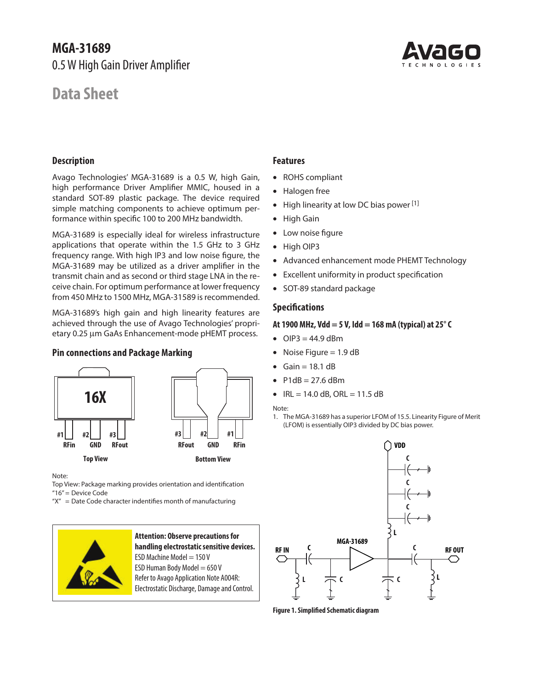# **MGA-31689** 0.5 W High Gain Driver Amplifier

# **Data Sheet**



#### **Description**

Avago Technologies' MGA-31689 is a 0.5 W, high Gain, high performance Driver Amplifier MMIC, housed in a standard SOT-89 plastic package. The device required simple matching components to achieve optimum performance within specific 100 to 200 MHz bandwidth.

MGA-31689 is especially ideal for wireless infrastructure applications that operate within the 1.5 GHz to 3 GHz frequency range. With high IP3 and low noise figure, the MGA-31689 may be utilized as a driver amplifier in the transmit chain and as second or third stage LNA in the receive chain. For optimum performance at lower frequency from 450 MHz to 1500 MHz, MGA-31589 is recommended.

MGA-31689's high gain and high linearity features are achieved through the use of Avago Technologies' proprietary 0.25 µm GaAs Enhancement-mode pHEMT process.

#### **Pin connections and Package Marking**



Note:

Top View: Package marking provides orientation and identification "16"= Device Code

 $''X'' =$  Date Code character indentifies month of manufacturing



#### **Attention: Observe precautions for handling electrostatic sensitive devices.** ESD Machine Model  $= 150$  V ESD Human Body Model  $= 650 V$ Refer to Avago Application Note A004R: Electrostatic Discharge, Damage and Control.

#### **Features**

- • ROHS compliant
- • Halogen free
- High linearity at low DC bias power [1]
- • High Gain
- Low noise figure
- • High OIP3
- Advanced enhancement mode PHEMT Technology
- • Excellent uniformity in product specification
- SOT-89 standard package

#### **Specifications**

#### **At 1900 MHz, Vdd = 5 V, Idd = 168 mA (typical) at 25° C**

- $OIP3 = 44.9$  dBm
- Noise Figure  $= 1.9$  dB
- Gain =  $18.1$  dB
- $P1dB = 27.6$  dBm
- $IRL = 14.0$  dB, ORL = 11.5 dB

Note:

1. The MGA-31689 has a superior LFOM of 15.5. Linearity Figure of Merit (LFOM) is essentially OIP3 divided by DC bias power.



**Figure 1. Simplified Schematic diagram**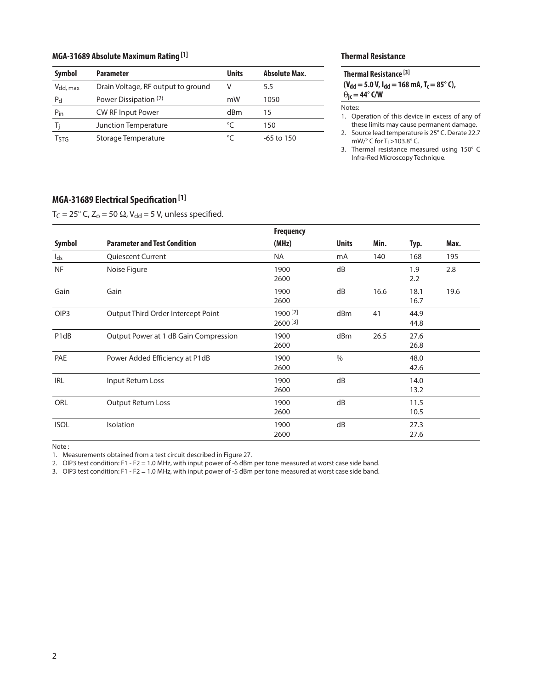#### **MGA-31689 Absolute Maximum Rating [1]**

| <b>Symbol</b>        | <b>Parameter</b>                   | <b>Units</b> | <b>Absolute Max.</b> |
|----------------------|------------------------------------|--------------|----------------------|
| V <sub>dd, max</sub> | Drain Voltage, RF output to ground | v            | 5.5                  |
| Pd                   | Power Dissipation (2)              | mW           | 1050                 |
| $P_{in}$             | <b>CW RF Input Power</b>           | dBm          | 15                   |
|                      | <b>Junction Temperature</b>        | °⊂           | 150                  |
| Ҭҁҭҁ                 | Storage Temperature                | $\circ$      | -65 to 150           |

#### **Thermal Resistance**

#### **Thermal Resistance [3]**  $(V_{dd} = 5.0 V, I_{dd} = 168 mA, T_c = 85^\circ C),$

 $\Theta_{\text{jc}} = 44^{\circ}$  C/W

Notes:

1. Operation of this device in excess of any of these limits may cause permanent damage.

2. Source lead temperature is 25° C. Derate 22.7 mW/ $\degree$  C for T<sub>L</sub>>103.8 $\degree$  C.

3. Thermal resistance measured using 150° C Infra-Red Microscopy Technique.

## **MGA-31689 Electrical Specification [1]**

 $T_C = 25^\circ$  C,  $Z_o = 50 \Omega$ , V<sub>dd</sub> = 5 V, unless specified.

|                               |                                       | <b>Frequency</b>         |              |      |              |      |
|-------------------------------|---------------------------------------|--------------------------|--------------|------|--------------|------|
| Symbol                        | <b>Parameter and Test Condition</b>   | (MHz)                    | <b>Units</b> | Min. | Typ.         | Max. |
| $I_{ds}$                      | <b>Quiescent Current</b>              | <b>NA</b>                | mA           | 140  | 168          | 195  |
| <b>NF</b>                     | Noise Figure                          | 1900<br>2600             | dB           |      | 1.9<br>2.2   | 2.8  |
| Gain                          | Gain                                  | 1900<br>2600             | dB           | 16.6 | 18.1<br>16.7 | 19.6 |
| OIP <sub>3</sub>              | Output Third Order Intercept Point    | 1900 [2]<br>$2600^{[3]}$ | dBm          | 41   | 44.9<br>44.8 |      |
| P <sub>1</sub> d <sub>B</sub> | Output Power at 1 dB Gain Compression | 1900<br>2600             | dBm          | 26.5 | 27.6<br>26.8 |      |
| PAE                           | Power Added Efficiency at P1dB        | 1900<br>2600             | $\%$         |      | 48.0<br>42.6 |      |
| <b>IRL</b>                    | Input Return Loss                     | 1900<br>2600             | dB           |      | 14.0<br>13.2 |      |
| ORL                           | <b>Output Return Loss</b>             | 1900<br>2600             | dB           |      | 11.5<br>10.5 |      |
| <b>ISOL</b>                   | Isolation                             | 1900<br>2600             | dB           |      | 27.3<br>27.6 |      |

Note :

1. Measurements obtained from a test circuit described in Figure 27.

2. OIP3 test condition: F1 - F2 = 1.0 MHz, with input power of -6 dBm per tone measured at worst case side band.

3. OIP3 test condition: F1 - F2 = 1.0 MHz, with input power of -5 dBm per tone measured at worst case side band.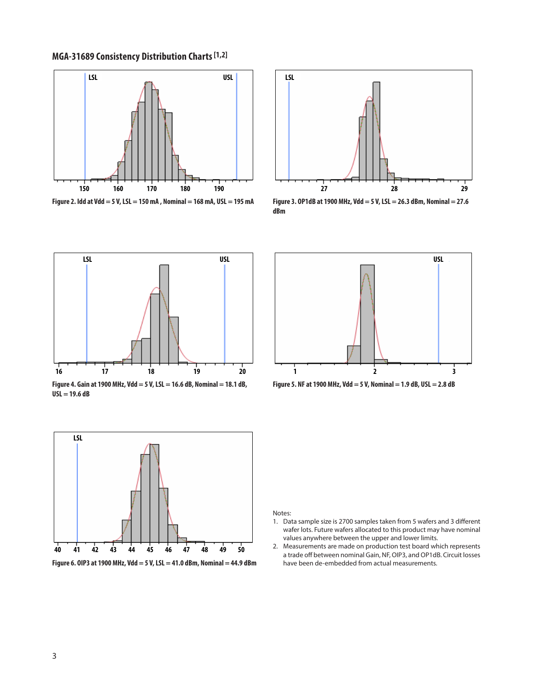**MGA-31689 Consistency Distribution Charts [1,2]**



**Figure 2. Idd at Vdd = 5 V, LSL = 150 mA , Nominal = 168 mA, USL = 195 mA**



**Figure 3. OP1dB at 1900 MHz, Vdd = 5 V, LSL = 26.3 dBm, Nominal = 27.6 dBm**



**Figure 4. Gain at 1900 MHz, Vdd = 5 V, LSL = 16.6 dB, Nominal = 18.1 dB, USL = 19.6 dB**



**Figure 6. OIP3 at 1900 MHz, Vdd = 5 V, LSL = 41.0 dBm, Nominal = 44.9 dBm** 





Notes:

- 1. Data sample size is 2700 samples taken from 5 wafers and 3 different wafer lots. Future wafers allocated to this product may have nominal values anywhere between the upper and lower limits.
- 2. Measurements are made on production test board which represents a trade off between nominal Gain, NF, OIP3, and OP1dB. Circuit losses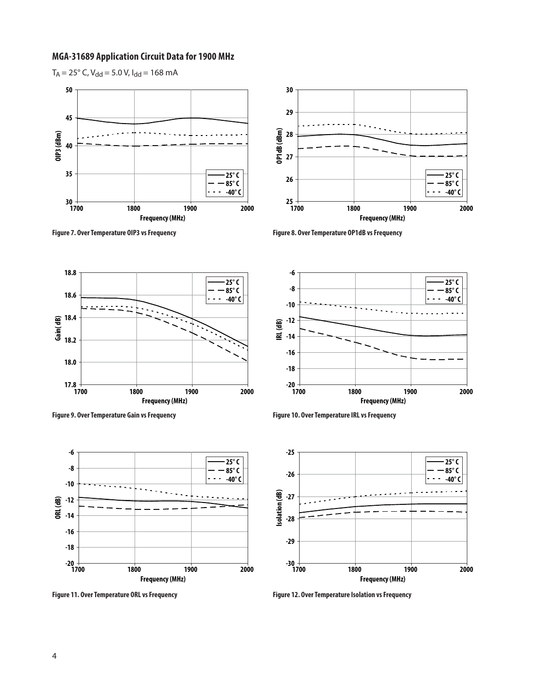#### **MGA-31689 Application Circuit Data for 1900 MHz**



 $T_A = 25^\circ$  C, V<sub>dd</sub> = 5.0 V, I<sub>dd</sub> = 168 mA







**Figure 9. Over Temperature Gain vs Frequency Figure 10. Over Temperature IRL vs Frequency**







**Figure 11. Over Temperature ORL vs Frequency Figure 12. Over Temperature Isolation vs Frequency**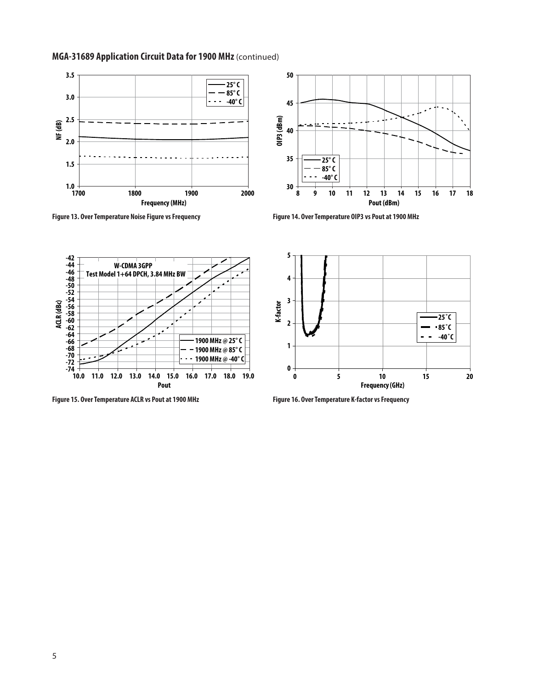

### **MGA-31689 Application Circuit Data for 1900 MHz** (continued)



**Figure 13. Over Temperature Noise Figure vs Frequency Figure 14. Over Temperature OIP3 vs Pout at 1900 MHz**



**Figure 15. Over Temperature ACLR vs Pout at 1900 MHz Figure 16. Over Temperature K-factor vs Frequency**

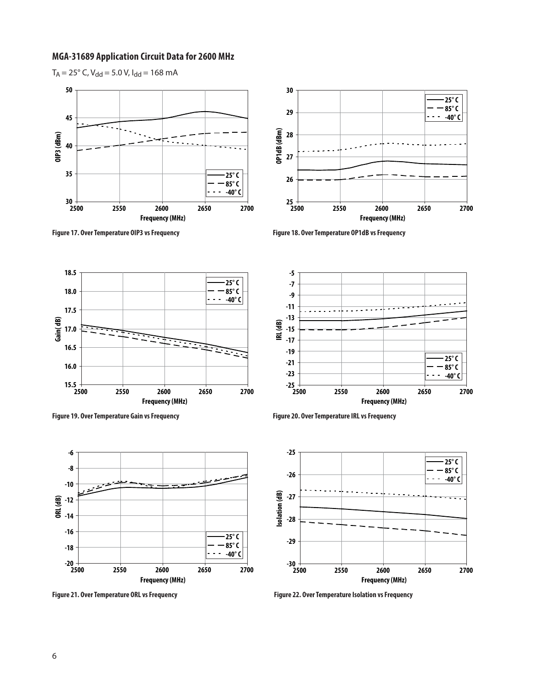#### **MGA-31689 Application Circuit Data for 2600 MHz**







**Figure 17. Over Temperature OIP3 vs Frequency Figure 18. Over Temperature OP1dB vs Frequency**



**Figure 19. Over Temperature Gain vs Frequency Figure 20. Over Temperature IRL vs Frequency**



**-25 -23 -21 -19 -17 -15 -13 -11 -9 -7 -5 2500 2550 2600 2650 2700 Frequency (MHz) IRL (dB) 25° C 85° C -40° C**



Figure 21. Over Temperature ORL vs Frequency **Figure 22. Over Temperature Isolation vs Frequency**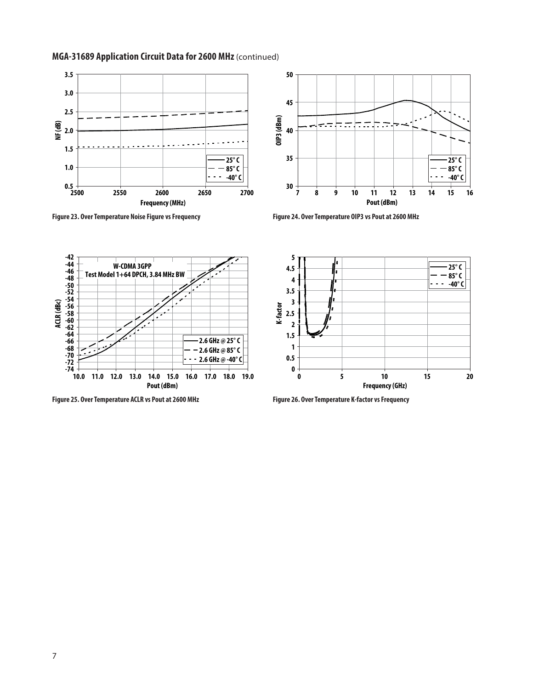





**Figure 23. Over Temperature Noise Figure vs Frequency Figure 24. Over Temperature OIP3 vs Pout at 2600 MHz**



**Figure 25. Over Temperature ACLR vs Pout at 2600 MHz Figure 26. Over Temperature K-factor vs Frequency**

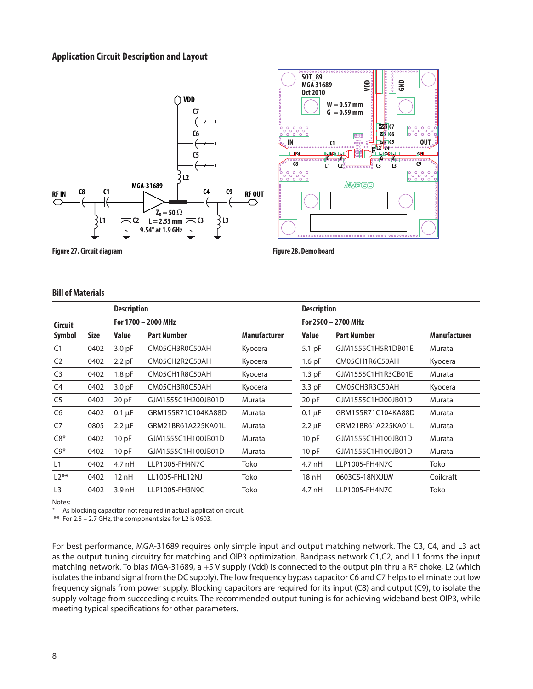#### **Application Circuit Description and Layout**





**Figure 27. Circuit diagram Figure 28. Demo board**

#### **Bill of Materials**

|                |             | <b>Description</b> |                     |              | <b>Description</b> |                     |              |  |  |
|----------------|-------------|--------------------|---------------------|--------------|--------------------|---------------------|--------------|--|--|
| <b>Circuit</b> |             |                    | For 1700 - 2000 MHz |              |                    | For 2500 - 2700 MHz |              |  |  |
| Symbol         | <b>Size</b> | <b>Value</b>       | <b>Part Number</b>  | Manufacturer | <b>Value</b>       | <b>Part Number</b>  | Manufacturer |  |  |
| C <sub>1</sub> | 0402        | 3.0 <sub>pF</sub>  | CM05CH3R0C50AH      | Kyocera      | 5.1 pF             | GJM1555C1H5R1DB01E  | Murata       |  |  |
| C <sub>2</sub> | 0402        | $2.2$ pF           | CM05CH2R2C50AH      | Kyocera      | $1.6$ pF           | CM05CH1R6C50AH      | Kyocera      |  |  |
| C <sub>3</sub> | 0402        | 1.8 <sub>pF</sub>  | CM05CH1R8C50AH      | Kyocera      | $1.3$ pF           | GJM1555C1H1R3CB01E  | Murata       |  |  |
| C <sub>4</sub> | 0402        | 3.0 <sub>pF</sub>  | CM05CH3R0C50AH      | Kyocera      | 3.3 pF             | CM05CH3R3C50AH      | Kyocera      |  |  |
| C <sub>5</sub> | 0402        | 20 pF              | GJM1555C1H200JB01D  | Murata       | 20 pF              | GJM1555C1H200JB01D  | Murata       |  |  |
| C <sub>6</sub> | 0402        | $0.1 \mu F$        | GRM155R71C104KA88D  | Murata       | $0.1 \mu F$        | GRM155R71C104KA88D  | Murata       |  |  |
| C7             | 0805        | $2.2 \mu F$        | GRM21BR61A225KA01L  | Murata       | $2.2 \mu F$        | GRM21BR61A225KA01L  | Murata       |  |  |
| $C8*$          | 0402        | 10pF               | GJM1555C1H100JB01D  | Murata       | 10pF               | GJM1555C1H100JB01D  | Murata       |  |  |
| $C9*$          | 0402        | 10pF               | GJM1555C1H100JB01D  | Murata       | 10 pF              | GJM1555C1H100JB01D  | Murata       |  |  |
| L1             | 0402        | $4.7$ nH           | LLP1005-FH4N7C      | Toko         | 4.7 nH             | LLP1005-FH4N7C      | Toko         |  |  |
| $L2**$         | 0402        | 12nH               | LL1005-FHL12NJ      | Toko         | 18 nH              | 0603CS-18NXJLW      | Coilcraft    |  |  |
| L <sub>3</sub> | 0402        | $3.9$ nH           | LLP1005-FH3N9C      | Toko         | 4.7 nH             | LLP1005-FH4N7C      | Toko         |  |  |

Notes:

As blocking capacitor, not required in actual application circuit.

\*\* For 2.5 – 2.7 GHz, the component size for L2 is 0603.

For best performance, MGA-31689 requires only simple input and output matching network. The C3, C4, and L3 act as the output tuning circuitry for matching and OIP3 optimization. Bandpass network C1,C2, and L1 forms the input matching network. To bias MGA-31689, a +5 V supply (Vdd) is connected to the output pin thru a RF choke, L2 (which isolates the inband signal from the DC supply). The low frequency bypass capacitor C6 and C7 helps to eliminate out low frequency signals from power supply. Blocking capacitors are required for its input (C8) and output (C9), to isolate the supply voltage from succeeding circuits. The recommended output tuning is for achieving wideband best OIP3, while meeting typical specifications for other parameters.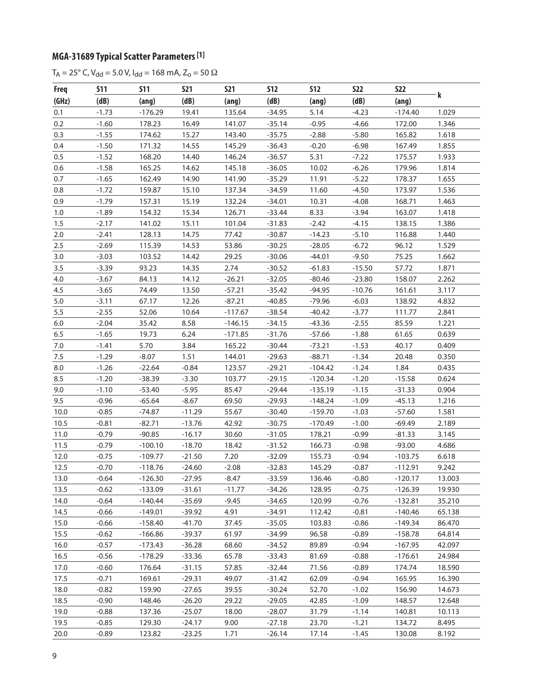## **MGA-31689 Typical Scatter Parameters [1]**

 $T_A = 25^\circ$  C, V<sub>dd</sub> = 5.0 V, I<sub>dd</sub> = 168 mA, Z<sub>o</sub> = 50 Ω

| <b>Freq</b> | <b>S11</b> | <b>S11</b> | <b>S21</b> | <b>S21</b> | <b>S12</b> | <b>S12</b> | <b>S22</b> | <b>S22</b> |        |
|-------------|------------|------------|------------|------------|------------|------------|------------|------------|--------|
| (GHz)       | (dB)       | (ang)      | (dB)       | (ang)      | (dB)       | (ang)      | (dB)       | (ang)      | k      |
| 0.1         | $-1.73$    | $-176.29$  | 19.41      | 135.64     | $-34.95$   | 5.14       | $-4.23$    | $-174.40$  | 1.029  |
| 0.2         | $-1.60$    | 178.23     | 16.49      | 141.07     | $-35.14$   | $-0.95$    | $-4.66$    | 172.00     | 1.346  |
| 0.3         | $-1.55$    | 174.62     | 15.27      | 143.40     | $-35.75$   | $-2.88$    | $-5.80$    | 165.82     | 1.618  |
| 0.4         | $-1.50$    | 171.32     | 14.55      | 145.29     | $-36.43$   | $-0.20$    | $-6.98$    | 167.49     | 1.855  |
| 0.5         | $-1.52$    | 168.20     | 14.40      | 146.24     | $-36.57$   | 5.31       | $-7.22$    | 175.57     | 1.933  |
| 0.6         | $-1.58$    | 165.25     | 14.62      | 145.18     | $-36.05$   | 10.02      | $-6.26$    | 179.96     | 1.814  |
| 0.7         | $-1.65$    | 162.49     | 14.90      | 141.90     | $-35.29$   | 11.91      | $-5.22$    | 178.37     | 1.655  |
| $0.8\,$     | $-1.72$    | 159.87     | 15.10      | 137.34     | $-34.59$   | 11.60      | $-4.50$    | 173.97     | 1.536  |
| 0.9         | $-1.79$    | 157.31     | 15.19      | 132.24     | $-34.01$   | 10.31      | $-4.08$    | 168.71     | 1.463  |
| 1.0         | $-1.89$    | 154.32     | 15.34      | 126.71     | $-33.44$   | 8.33       | $-3.94$    | 163.07     | 1.418  |
| 1.5         | $-2.17$    | 141.02     | 15.11      | 101.04     | $-31.83$   | $-2.42$    | $-4.15$    | 138.15     | 1.386  |
| $2.0\,$     | $-2.41$    | 128.13     | 14.75      | 77.42      | $-30.87$   | $-14.23$   | $-5.10$    | 116.88     | 1.440  |
| 2.5         | $-2.69$    | 115.39     | 14.53      | 53.86      | $-30.25$   | $-28.05$   | $-6.72$    | 96.12      | 1.529  |
| 3.0         | $-3.03$    | 103.52     | 14.42      | 29.25      | $-30.06$   | $-44.01$   | $-9.50$    | 75.25      | 1.662  |
| 3.5         | $-3.39$    | 93.23      | 14.35      | 2.74       | $-30.52$   | $-61.83$   | $-15.50$   | 57.72      | 1.871  |
| 4.0         | $-3.67$    | 84.13      | 14.12      | $-26.21$   | $-32.05$   | $-80.46$   | $-23.80$   | 158.07     | 2.262  |
| 4.5         | $-3.65$    | 74.49      | 13.50      | $-57.21$   | $-35.42$   | $-94.95$   | $-10.76$   | 161.61     | 3.117  |
| $5.0\,$     | $-3.11$    | 67.17      | 12.26      | $-87.21$   | $-40.85$   | $-79.96$   | $-6.03$    | 138.92     | 4.832  |
| 5.5         | $-2.55$    | 52.06      | 10.64      | $-117.67$  | $-38.54$   | $-40.42$   | $-3.77$    | 111.77     | 2.841  |
| $6.0\,$     | $-2.04$    | 35.42      | 8.58       | $-146.15$  | $-34.15$   | $-43.36$   | $-2.55$    | 85.59      | 1.221  |
| 6.5         | $-1.65$    | 19.73      | 6.24       | $-171.85$  | $-31.76$   | $-57.66$   | $-1.88$    | 61.65      | 0.639  |
| $7.0$       | $-1.41$    | 5.70       | 3.84       | 165.22     | $-30.44$   | $-73.21$   | $-1.53$    | 40.17      | 0.409  |
| 7.5         | $-1.29$    | $-8.07$    | 1.51       | 144.01     | $-29.63$   | $-88.71$   | $-1.34$    | 20.48      | 0.350  |
| $8.0\,$     | $-1.26$    | $-22.64$   | $-0.84$    | 123.57     | $-29.21$   | $-104.42$  | $-1.24$    | 1.84       | 0.435  |
| 8.5         | $-1.20$    | $-38.39$   | $-3.30$    | 103.77     | $-29.15$   | $-120.34$  | $-1.20$    | $-15.58$   | 0.624  |
| 9.0         | $-1.10$    | $-53.40$   | $-5.95$    | 85.47      | $-29.44$   | $-135.19$  | $-1.15$    | $-31.33$   | 0.904  |
| 9.5         | $-0.96$    | $-65.64$   | $-8.67$    | 69.50      | $-29.93$   | $-148.24$  | $-1.09$    | $-45.13$   | 1.216  |
| 10.0        | $-0.85$    | $-74.87$   | $-11.29$   | 55.67      | $-30.40$   | $-159.70$  | $-1.03$    | $-57.60$   | 1.581  |
| 10.5        | $-0.81$    | $-82.71$   | $-13.76$   | 42.92      | $-30.75$   | $-170.49$  | $-1.00$    | $-69.49$   | 2.189  |
| 11.0        | $-0.79$    | $-90.85$   | $-16.17$   | 30.60      | $-31.05$   | 178.21     | $-0.99$    | $-81.33$   | 3.145  |
| 11.5        | $-0.79$    | $-100.10$  | $-18.70$   | 18.42      | $-31.52$   | 166.73     | $-0.98$    | $-93.00$   | 4.686  |
| 12.0        | $-0.75$    | $-109.77$  | $-21.50$   | 7.20       | $-32.09$   | 155.73     | $-0.94$    | $-103.75$  | 6.618  |
| 12.5        | $-0.70$    | $-118.76$  | $-24.60$   | $-2.08$    | $-32.83$   | 145.29     | $-0.87$    | $-112.91$  | 9.242  |
| 13.0        | $-0.64$    | $-126.30$  | $-27.95$   | $-8.47$    | $-33.59$   | 136.46     | $-0.80$    | $-120.17$  | 13.003 |
| 13.5        | $-0.62$    | $-133.09$  | $-31.61$   | $-11.77$   | $-34.26$   | 128.95     | $-0.75$    | $-126.39$  | 19.930 |
| 14.0        | $-0.64$    | $-140.44$  | $-35.69$   | $-9.45$    | $-34.65$   | 120.99     | $-0.76$    | $-132.81$  | 35.210 |
| 14.5        | $-0.66$    | $-149.01$  | $-39.92$   | 4.91       | $-34.91$   | 112.42     | $-0.81$    | $-140.46$  | 65.138 |
| 15.0        | $-0.66$    | $-158.40$  | $-41.70$   | 37.45      | $-35.05$   | 103.83     | $-0.86$    | $-149.34$  | 86.470 |
| 15.5        | $-0.62$    | $-166.86$  | $-39.37$   | 61.97      | $-34.99$   | 96.58      | $-0.89$    | $-158.78$  | 64.814 |
| 16.0        | $-0.57$    | $-173.43$  | $-36.28$   | 68.60      | $-34.52$   | 89.89      | $-0.94$    | $-167.95$  | 42.097 |
| 16.5        | $-0.56$    | $-178.29$  | $-33.36$   | 65.78      | $-33.43$   | 81.69      | $-0.88$    | $-176.61$  | 24.984 |
| 17.0        | $-0.60$    | 176.64     | $-31.15$   | 57.85      | $-32.44$   | 71.56      | $-0.89$    | 174.74     | 18.590 |
| 17.5        | $-0.71$    | 169.61     | $-29.31$   | 49.07      | $-31.42$   | 62.09      | $-0.94$    | 165.95     | 16.390 |
| 18.0        | $-0.82$    | 159.90     | $-27.65$   | 39.55      | $-30.24$   | 52.70      | $-1.02$    | 156.90     | 14.673 |
| 18.5        | $-0.90$    | 148.46     | $-26.20$   | 29.22      | $-29.05$   | 42.85      | $-1.09$    | 148.57     | 12.648 |
| 19.0        | $-0.88$    | 137.36     | $-25.07$   | 18.00      | $-28.07$   | 31.79      | $-1.14$    | 140.81     | 10.113 |
| 19.5        | $-0.85$    | 129.30     | $-24.17$   | 9.00       | $-27.18$   | 23.70      | $-1.21$    | 134.72     | 8.495  |
| 20.0        | $-0.89$    | 123.82     | $-23.25$   | 1.71       | $-26.14$   | 17.14      | $-1.45$    | 130.08     | 8.192  |
|             |            |            |            |            |            |            |            |            |        |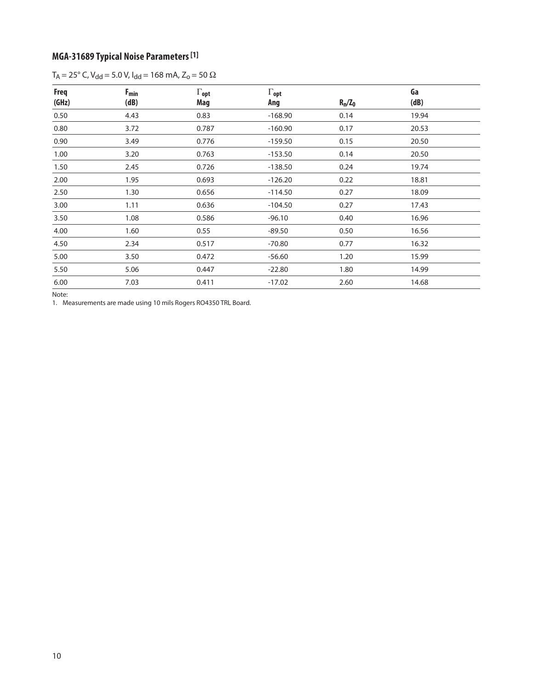# **MGA-31689 Typical Noise Parameters [1]**

| $T_A = 25^\circ$ C, V <sub>dd</sub> = 5.0 V, I <sub>dd</sub> = 168 mA, Z <sub>o</sub> = 50 $\Omega$ |  |
|-----------------------------------------------------------------------------------------------------|--|
|-----------------------------------------------------------------------------------------------------|--|

| <b>Freq</b><br>(GHz) | $F_{min}$<br>(dB) | $\Gamma_{\text{opt}}$<br>Mag | $\Gamma_{\text{opt}}$<br>Ang | $R_n/Z_0$ | Ga<br>(dB) |  |
|----------------------|-------------------|------------------------------|------------------------------|-----------|------------|--|
| 0.50                 | 4.43              | 0.83                         | $-168.90$                    | 0.14      | 19.94      |  |
| 0.80                 | 3.72              | 0.787                        | $-160.90$                    | 0.17      | 20.53      |  |
| 0.90                 | 3.49              | 0.776                        | $-159.50$                    | 0.15      | 20.50      |  |
| 1.00                 | 3.20              | 0.763                        | $-153.50$                    | 0.14      | 20.50      |  |
| 1.50                 | 2.45              | 0.726                        | $-138.50$                    | 0.24      | 19.74      |  |
| 2.00                 | 1.95              | 0.693                        | $-126.20$                    | 0.22      | 18.81      |  |
| 2.50                 | 1.30              | 0.656                        | $-114.50$                    | 0.27      | 18.09      |  |
| 3.00                 | 1.11              | 0.636                        | $-104.50$                    | 0.27      | 17.43      |  |
| 3.50                 | 1.08              | 0.586                        | $-96.10$                     | 0.40      | 16.96      |  |
| 4.00                 | 1.60              | 0.55                         | $-89.50$                     | 0.50      | 16.56      |  |
| 4.50                 | 2.34              | 0.517                        | $-70.80$                     | 0.77      | 16.32      |  |
| 5.00                 | 3.50              | 0.472                        | $-56.60$                     | 1.20      | 15.99      |  |
| 5.50                 | 5.06              | 0.447                        | $-22.80$                     | 1.80      | 14.99      |  |
| 6.00                 | 7.03              | 0.411                        | $-17.02$                     | 2.60      | 14.68      |  |

Note:

1. Measurements are made using 10 mils Rogers RO4350 TRL Board.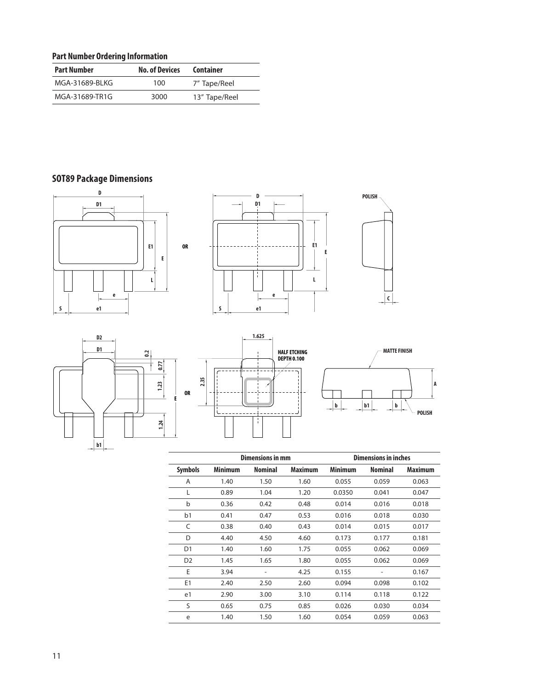### **Part Number Ordering Information**

| <b>Part Number</b> | <b>No. of Devices</b> | <b>Container</b> |
|--------------------|-----------------------|------------------|
| MGA-31689-BLKG     | 100                   | 7" Tape/Reel     |
| MGA-31689-TR1G     | 3000                  | 13" Tape/Reel    |

# **SOT89 Package Dimensions**













|                |                | <b>Dimensions in mm</b> |         | <b>Dimensions in inches</b> |                |                |
|----------------|----------------|-------------------------|---------|-----------------------------|----------------|----------------|
| <b>Symbols</b> | <b>Minimum</b> | <b>Nominal</b>          | Maximum | <b>Minimum</b>              | <b>Nominal</b> | <b>Maximum</b> |
| A              | 1.40           | 1.50                    | 1.60    | 0.055                       | 0.059          | 0.063          |
| L              | 0.89           | 1.04                    | 1.20    | 0.0350                      | 0.041          | 0.047          |
| b              | 0.36           | 0.42                    | 0.48    | 0.014                       | 0.016          | 0.018          |
| b <sub>1</sub> | 0.41           | 0.47                    | 0.53    | 0.016                       | 0.018          | 0.030          |
| C              | 0.38           | 0.40                    | 0.43    | 0.014                       | 0.015          | 0.017          |
| D              | 4.40           | 4.50                    | 4.60    | 0.173                       | 0.177          | 0.181          |
| D <sub>1</sub> | 1.40           | 1.60                    | 1.75    | 0.055                       | 0.062          | 0.069          |
| D <sub>2</sub> | 1.45           | 1.65                    | 1.80    | 0.055                       | 0.062          | 0.069          |
| E              | 3.94           |                         | 4.25    | 0.155                       |                | 0.167          |
| E1             | 2.40           | 2.50                    | 2.60    | 0.094                       | 0.098          | 0.102          |
| e1             | 2.90           | 3.00                    | 3.10    | 0.114                       | 0.118          | 0.122          |
| S              | 0.65           | 0.75                    | 0.85    | 0.026                       | 0.030          | 0.034          |
| e              | 1.40           | 1.50                    | 1.60    | 0.054                       | 0.059          | 0.063          |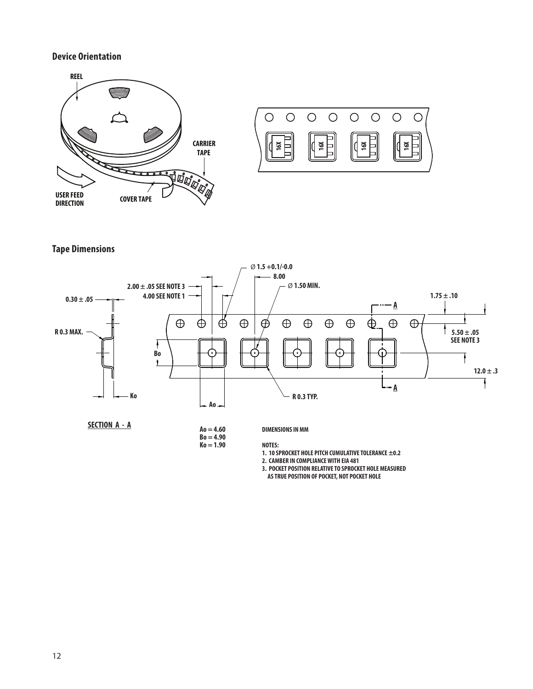#### **Device Orientation**





**Tape Dimensions**



**SECTION A - A**

**Ao = 4.60**

**Bo = 4.90**  $Ko = 1.90$  **DIMENSIONS IN MM**

**NOTES:**

**1. 10 SPROCKET HOLE PITCH CUMULATIVE TOLERANCE ±0.2**

**2. CAMBER IN COMPLIANCE WITH EIA 481**

**3. POCKET POSITION RELATIVE TO SPROCKET HOLE MEASURED**

 **AS TRUE POSITION OF POCKET, NOT POCKET HOLE**